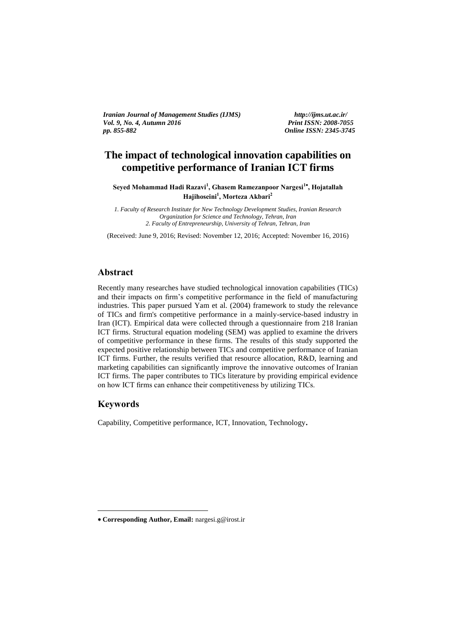*Iranian Journal of Management Studies (IJMS) http://ijms.ut.ac.ir/ Vol. 9, No. 4, Autumn 2016 pp. 855-882 Online ISSN: 2345-3745*

# **The impact of technological innovation capabilities on competitive performance of Iranian ICT firms**   $\blacksquare$

**Seyed Mohammad Hadi Razavi<sup>1</sup> , Ghasem Ramezanpoor Nargesi<sup>1</sup> , Hojatallah Hajihoseini<sup>1</sup> , Morteza Akbari<sup>2</sup>**

*1. Faculty of Research Institute for New Technology Development Studies, Iranian Research Organization for Science and Technology, Tehran, Iran 2. Faculty of Entrepreneurship, University of Tehran, Tehran, Iran*

(Received: June 9, 2016; Revised: November 12, 2016; Accepted: November 16, 2016)

### **Abstract**

Recently many researches have studied technological innovation capabilities (TICs) and their impacts on firm's competitive performance in the field of manufacturing industries. This paper pursued Yam et al. (2004) framework to study the relevance of TICs and firm's competitive performance in a mainly-service-based industry in Iran (ICT). Empirical data were collected through a questionnaire from 218 Iranian ICT firms. Structural equation modeling (SEM) was applied to examine the drivers of competitive performance in these firms. The results of this study supported the expected positive relationship between TICs and competitive performance of Iranian ICT firms. Further, the results verified that resource allocation, R&D, learning and marketing capabilities can significantly improve the innovative outcomes of Iranian ICT firms. The paper contributes to TICs literature by providing empirical evidence on how ICT firms can enhance their competitiveness by utilizing TICs.

### **Keywords**

1

Capability, Competitive performance, ICT, Innovation, Technology.

**Corresponding Author, Email:** nargesi.g@irost.ir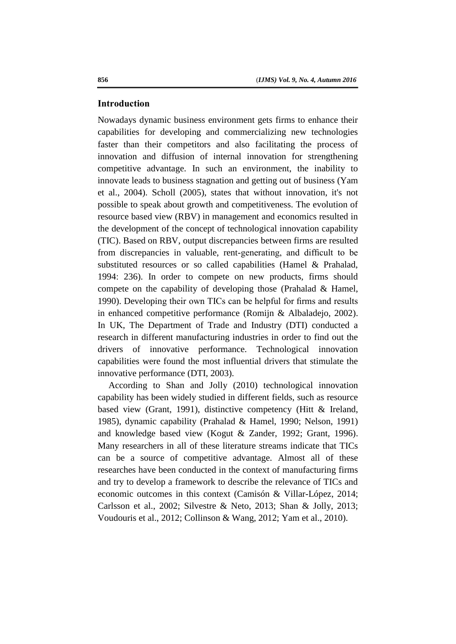#### **Introduction**

Nowadays dynamic business environment gets firms to enhance their capabilities for developing and commercializing new technologies faster than their competitors and also facilitating the process of innovation and diffusion of internal innovation for strengthening competitive advantage. In such an environment, the inability to innovate leads to business stagnation and getting out of business (Yam et al., 2004). Scholl (2005), states that without innovation, it's not possible to speak about growth and competitiveness. The evolution of resource based view (RBV) in management and economics resulted in the development of the concept of technological innovation capability (TIC). Based on RBV, output discrepancies between firms are resulted from discrepancies in valuable, rent-generating, and difficult to be substituted resources or so called capabilities (Hamel & Prahalad, 1994: 236). In order to compete on new products, firms should compete on the capability of developing those (Prahalad & Hamel, 1990). Developing their own TICs can be helpful for firms and results in enhanced competitive performance (Romijn & Albaladejo, 2002). In UK, The Department of Trade and Industry (DTI) conducted a research in different manufacturing industries in order to find out the drivers of innovative performance. Technological innovation capabilities were found the most influential drivers that stimulate the innovative performance (DTI, 2003).

According to Shan and Jolly (2010) technological innovation capability has been widely studied in different fields, such as resource based view (Grant, 1991), distinctive competency (Hitt & Ireland, 1985), dynamic capability (Prahalad & Hamel, 1990; Nelson, 1991) and knowledge based view (Kogut & Zander, 1992; Grant, 1996). Many researchers in all of these literature streams indicate that TICs can be a source of competitive advantage. Almost all of these researches have been conducted in the context of manufacturing firms and try to develop a framework to describe the relevance of TICs and economic outcomes in this context (Camisón & Villar-López, 2014; Carlsson et al., 2002; Silvestre & Neto, 2013; Shan & Jolly, 2013; Voudouris et al., 2012; Collinson & Wang, 2012; Yam et al., 2010).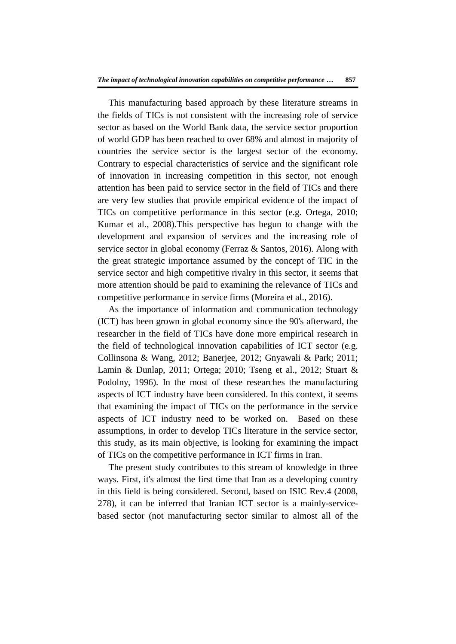This manufacturing based approach by these literature streams in the fields of TICs is not consistent with the increasing role of service sector as based on the World Bank data, the service sector proportion of world GDP has been reached to over 68% and almost in majority of countries the service sector is the largest sector of the economy. Contrary to especial characteristics of service and the significant role of innovation in increasing competition in this sector, not enough attention has been paid to service sector in the field of TICs and there are very few studies that provide empirical evidence of the impact of TICs on competitive performance in this sector (e.g. Ortega, 2010; Kumar et al., 2008).This perspective has begun to change with the development and expansion of services and the increasing role of service sector in global economy (Ferraz & Santos, 2016). Along with the great strategic importance assumed by the concept of TIC in the service sector and high competitive rivalry in this sector, it seems that more attention should be paid to examining the relevance of TICs and competitive performance in service firms (Moreira et al., 2016).

As the importance of information and communication technology (ICT) has been grown in global economy since the 90's afterward, the researcher in the field of TICs have done more empirical research in the field of technological innovation capabilities of ICT sector (e.g. Collinsona & Wang, 2012; Banerjee, 2012; Gnyawali & Park; 2011; Lamin & Dunlap, 2011; Ortega; 2010; Tseng et al., 2012; Stuart & Podolny, 1996). In the most of these researches the manufacturing aspects of ICT industry have been considered. In this context, it seems that examining the impact of TICs on the performance in the service aspects of ICT industry need to be worked on. Based on these assumptions, in order to develop TICs literature in the service sector, this study, as its main objective, is looking for examining the impact of TICs on the competitive performance in ICT firms in Iran.

The present study contributes to this stream of knowledge in three ways. First, it's almost the first time that Iran as a developing country in this field is being considered. Second, based on ISIC Rev.4 (2008, 278), it can be inferred that Iranian ICT sector is a mainly-servicebased sector (not manufacturing sector similar to almost all of the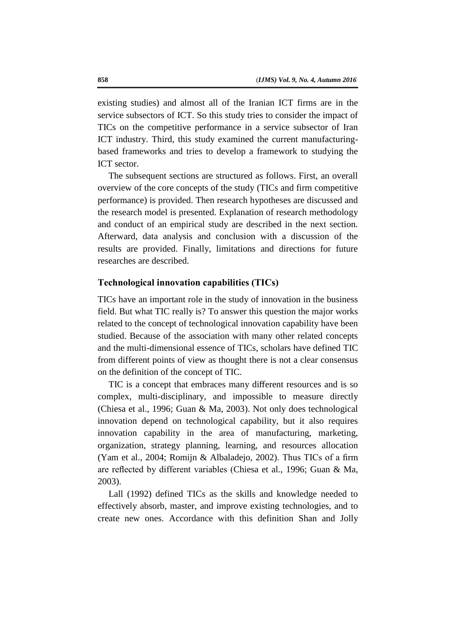existing studies) and almost all of the Iranian ICT firms are in the service subsectors of ICT. So this study tries to consider the impact of TICs on the competitive performance in a service subsector of Iran ICT industry. Third, this study examined the current manufacturingbased frameworks and tries to develop a framework to studying the ICT sector.

The subsequent sections are structured as follows. First, an overall overview of the core concepts of the study (TICs and firm competitive performance) is provided. Then research hypotheses are discussed and the research model is presented. Explanation of research methodology and conduct of an empirical study are described in the next section. Afterward, data analysis and conclusion with a discussion of the results are provided. Finally, limitations and directions for future researches are described.

### **Technological innovation capabilities (TICs)**

TICs have an important role in the study of innovation in the business field. But what TIC really is? To answer this question the major works related to the concept of technological innovation capability have been studied. Because of the association with many other related concepts and the multi-dimensional essence of TICs, scholars have defined TIC from different points of view as thought there is not a clear consensus on the definition of the concept of TIC.

TIC is a concept that embraces many different resources and is so complex, multi-disciplinary, and impossible to measure directly (Chiesa et al., 1996; Guan & Ma, 2003). Not only does technological innovation depend on technological capability, but it also requires innovation capability in the area of manufacturing, marketing, organization, strategy planning, learning, and resources allocation (Yam et al., 2004; Romijn & Albaladejo, 2002). Thus TICs of a firm are reflected by different variables (Chiesa et al., 1996; Guan & Ma, 2003).

Lall (1992) defined TICs as the skills and knowledge needed to effectively absorb, master, and improve existing technologies, and to create new ones. Accordance with this definition Shan and Jolly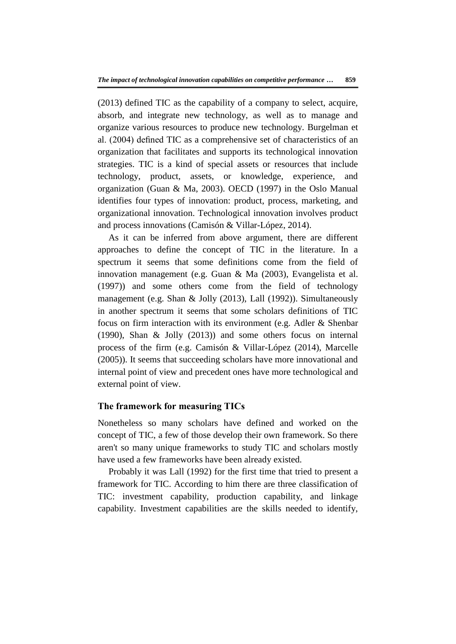(2013) defined TIC as the capability of a company to select, acquire, absorb, and integrate new technology, as well as to manage and organize various resources to produce new technology. Burgelman et al. (2004) defined TIC as a comprehensive set of characteristics of an organization that facilitates and supports its technological innovation strategies. TIC is a kind of special assets or resources that include technology, product, assets, or knowledge, experience, and organization (Guan & Ma, 2003). OECD (1997) in the Oslo Manual identifies four types of innovation: product, process, marketing, and organizational innovation. Technological innovation involves product and process innovations (Camisón & Villar-López, 2014).

As it can be inferred from above argument, there are different approaches to define the concept of TIC in the literature. In a spectrum it seems that some definitions come from the field of innovation management (e.g. Guan & Ma (2003), Evangelista et al. (1997)) and some others come from the field of technology management (e.g. Shan & Jolly (2013), Lall (1992)). Simultaneously in another spectrum it seems that some scholars definitions of TIC focus on firm interaction with its environment (e.g. Adler & Shenbar (1990), Shan & Jolly (2013)) and some others focus on internal process of the firm (e.g. Camisón & Villar-López (2014), Marcelle (2005)). It seems that succeeding scholars have more innovational and internal point of view and precedent ones have more technological and external point of view.

# **The framework for measuring TICs**

Nonetheless so many scholars have defined and worked on the concept of TIC, a few of those develop their own framework. So there aren't so many unique frameworks to study TIC and scholars mostly have used a few frameworks have been already existed.

Probably it was Lall (1992) for the first time that tried to present a framework for TIC. According to him there are three classification of TIC: investment capability, production capability, and linkage capability. Investment capabilities are the skills needed to identify,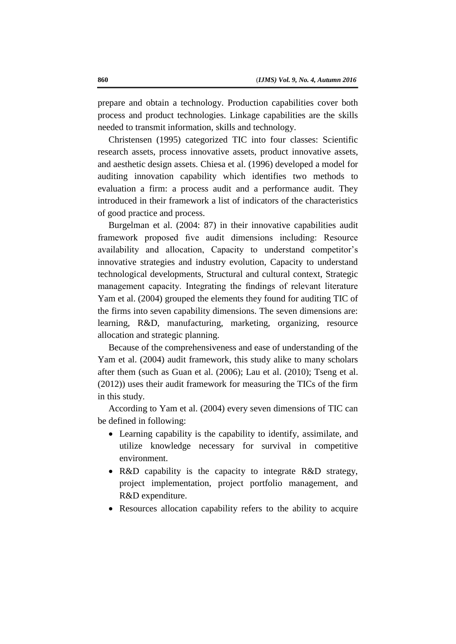prepare and obtain a technology. Production capabilities cover both process and product technologies. Linkage capabilities are the skills needed to transmit information, skills and technology.

Christensen (1995) categorized TIC into four classes: Scientific research assets, process innovative assets, product innovative assets, and aesthetic design assets. Chiesa et al. (1996) developed a model for auditing innovation capability which identifies two methods to evaluation a firm: a process audit and a performance audit. They introduced in their framework a list of indicators of the characteristics of good practice and process.

Burgelman et al. (2004: 87) in their innovative capabilities audit framework proposed five audit dimensions including: Resource availability and allocation, Capacity to understand competitor's innovative strategies and industry evolution, Capacity to understand technological developments, Structural and cultural context, Strategic management capacity. Integrating the findings of relevant literature Yam et al. (2004) grouped the elements they found for auditing TIC of the firms into seven capability dimensions. The seven dimensions are: learning, R&D, manufacturing, marketing, organizing, resource allocation and strategic planning.

Because of the comprehensiveness and ease of understanding of the Yam et al. (2004) audit framework, this study alike to many scholars after them (such as Guan et al. (2006); Lau et al. (2010); Tseng et al. (2012)) uses their audit framework for measuring the TICs of the firm in this study.

According to Yam et al. (2004) every seven dimensions of TIC can be defined in following:

- Learning capability is the capability to identify, assimilate, and utilize knowledge necessary for survival in competitive environment.
- R&D capability is the capacity to integrate R&D strategy, project implementation, project portfolio management, and R&D expenditure.
- Resources allocation capability refers to the ability to acquire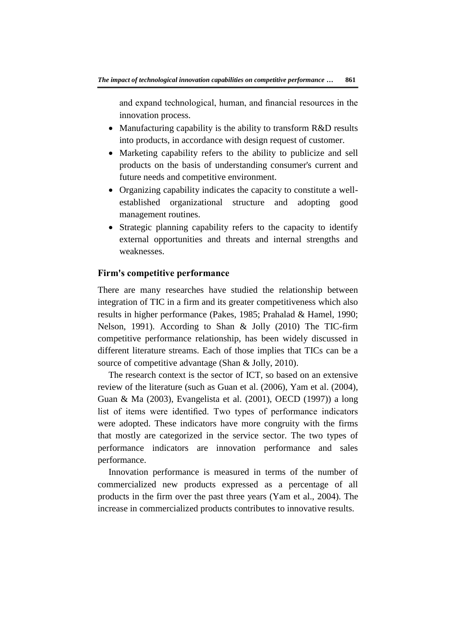and expand technological, human, and financial resources in the innovation process.

- Manufacturing capability is the ability to transform R&D results into products, in accordance with design request of customer.
- Marketing capability refers to the ability to publicize and sell products on the basis of understanding consumer's current and future needs and competitive environment.
- Organizing capability indicates the capacity to constitute a wellestablished organizational structure and adopting good management routines.
- Strategic planning capability refers to the capacity to identify external opportunities and threats and internal strengths and weaknesses.

# **Firm's competitive performance**

There are many researches have studied the relationship between integration of TIC in a firm and its greater competitiveness which also results in higher performance (Pakes, 1985; Prahalad & Hamel, 1990; Nelson, 1991). According to Shan & Jolly (2010) The TIC-firm competitive performance relationship, has been widely discussed in different literature streams. Each of those implies that TICs can be a source of competitive advantage (Shan & Jolly, 2010).

The research context is the sector of ICT, so based on an extensive review of the literature (such as Guan et al. (2006), Yam et al. (2004), Guan & Ma (2003), Evangelista et al. (2001), OECD (1997)) a long list of items were identified. Two types of performance indicators were adopted. These indicators have more congruity with the firms that mostly are categorized in the service sector. The two types of performance indicators are innovation performance and sales performance.

Innovation performance is measured in terms of the number of commercialized new products expressed as a percentage of all products in the firm over the past three years (Yam et al., 2004). The increase in commercialized products contributes to innovative results.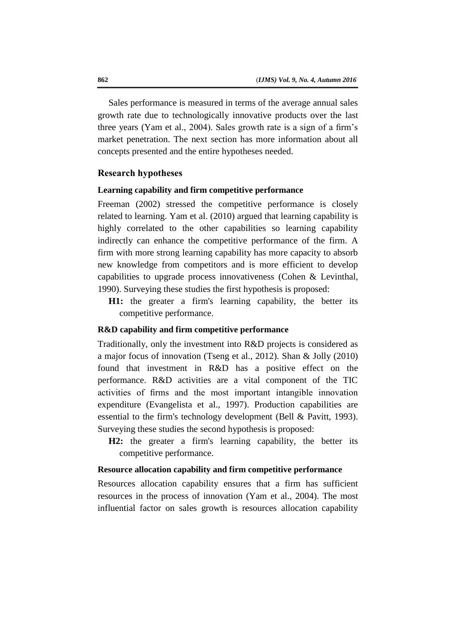Sales performance is measured in terms of the average annual sales growth rate due to technologically innovative products over the last three years (Yam et al., 2004). Sales growth rate is a sign of a firm's market penetration. The next section has more information about all concepts presented and the entire hypotheses needed.

### **Research hypotheses**

# **Learning capability and firm competitive performance**

Freeman (2002) stressed the competitive performance is closely related to learning. Yam et al. (2010) argued that learning capability is highly correlated to the other capabilities so learning capability indirectly can enhance the competitive performance of the firm. A firm with more strong learning capability has more capacity to absorb new knowledge from competitors and is more efficient to develop capabilities to upgrade process innovativeness (Cohen & Levinthal, 1990). Surveying these studies the first hypothesis is proposed:

**H1:** the greater a firm's learning capability, the better its competitive performance.

# **R&D capability and firm competitive performance**

Traditionally, only the investment into R&D projects is considered as a major focus of innovation (Tseng et al., 2012). Shan & Jolly (2010) found that investment in R&D has a positive effect on the performance. R&D activities are a vital component of the TIC activities of firms and the most important intangible innovation expenditure (Evangelista et al., 1997). Production capabilities are essential to the firm's technology development (Bell & Pavitt, 1993). Surveying these studies the second hypothesis is proposed:

**H2:** the greater a firm's learning capability, the better its competitive performance.

#### **Resource allocation capability and firm competitive performance**

Resources allocation capability ensures that a firm has sufficient resources in the process of innovation (Yam et al., 2004). The most influential factor on sales growth is resources allocation capability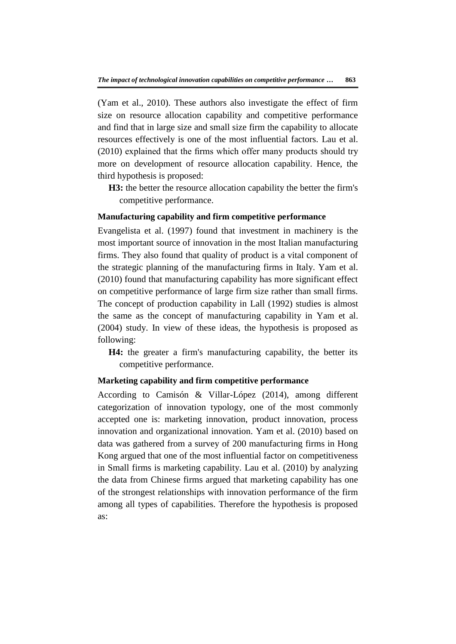(Yam et al., 2010). These authors also investigate the effect of firm size on resource allocation capability and competitive performance and find that in large size and small size firm the capability to allocate resources effectively is one of the most influential factors. Lau et al. (2010) explained that the firms which offer many products should try more on development of resource allocation capability. Hence, the third hypothesis is proposed:

**H3:** the better the resource allocation capability the better the firm's competitive performance.

# **Manufacturing capability and firm competitive performance**

Evangelista et al. (1997) found that investment in machinery is the most important source of innovation in the most Italian manufacturing firms. They also found that quality of product is a vital component of the strategic planning of the manufacturing firms in Italy. Yam et al. (2010) found that manufacturing capability has more significant effect on competitive performance of large firm size rather than small firms. The concept of production capability in Lall (1992) studies is almost the same as the concept of manufacturing capability in Yam et al. (2004) study. In view of these ideas, the hypothesis is proposed as following:

**H4:** the greater a firm's manufacturing capability, the better its competitive performance.

# **Marketing capability and firm competitive performance**

According to Camisón & Villar-López (2014), among different categorization of innovation typology, one of the most commonly accepted one is: marketing innovation, product innovation, process innovation and organizational innovation. Yam et al. (2010) based on data was gathered from a survey of 200 manufacturing firms in Hong Kong argued that one of the most influential factor on competitiveness in Small firms is marketing capability. Lau et al. (2010) by analyzing the data from Chinese firms argued that marketing capability has one of the strongest relationships with innovation performance of the firm among all types of capabilities. Therefore the hypothesis is proposed as: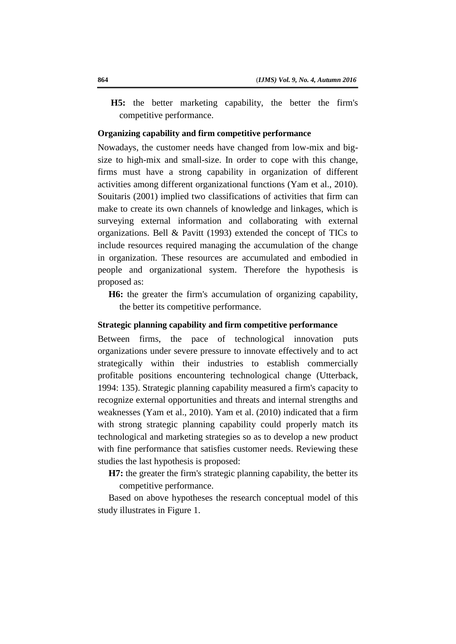**H5:** the better marketing capability, the better the firm's competitive performance.

## **Organizing capability and firm competitive performance**

Nowadays, the customer needs have changed from low-mix and bigsize to high-mix and small-size. In order to cope with this change, firms must have a strong capability in organization of different activities among different organizational functions (Yam et al., 2010). Souitaris (2001) implied two classifications of activities that firm can make to create its own channels of knowledge and linkages, which is surveying external information and collaborating with external organizations. Bell & Pavitt (1993) extended the concept of TICs to include resources required managing the accumulation of the change in organization. These resources are accumulated and embodied in people and organizational system. Therefore the hypothesis is proposed as:

**H6:** the greater the firm's accumulation of organizing capability, the better its competitive performance.

# **Strategic planning capability and firm competitive performance**

Between firms, the pace of technological innovation puts organizations under severe pressure to innovate effectively and to act strategically within their industries to establish commercially profitable positions encountering technological change (Utterback, 1994: 135). Strategic planning capability measured a firm's capacity to recognize external opportunities and threats and internal strengths and weaknesses (Yam et al., 2010). Yam et al. (2010) indicated that a firm with strong strategic planning capability could properly match its technological and marketing strategies so as to develop a new product with fine performance that satisfies customer needs. Reviewing these studies the last hypothesis is proposed:

**H7:** the greater the firm's strategic planning capability, the better its competitive performance.

Based on above hypotheses the research conceptual model of this study illustrates in Figure 1.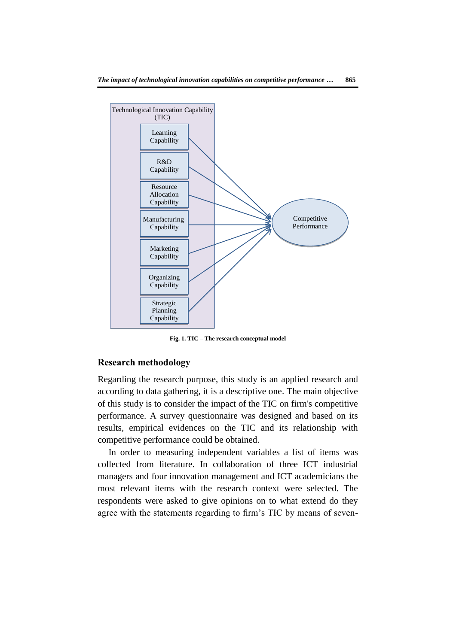

**Fig. 1. TIC – The research conceptual model**

### **Research methodology**

Regarding the research purpose, this study is an applied research and according to data gathering, it is a descriptive one. The main objective of this study is to consider the impact of the TIC on firm's competitive performance. A survey questionnaire was designed and based on its results, empirical evidences on the TIC and its relationship with competitive performance could be obtained.

In order to measuring independent variables a list of items was collected from literature. In collaboration of three ICT industrial managers and four innovation management and ICT academicians the most relevant items with the research context were selected. The respondents were asked to give opinions on to what extend do they agree with the statements regarding to firm's TIC by means of seven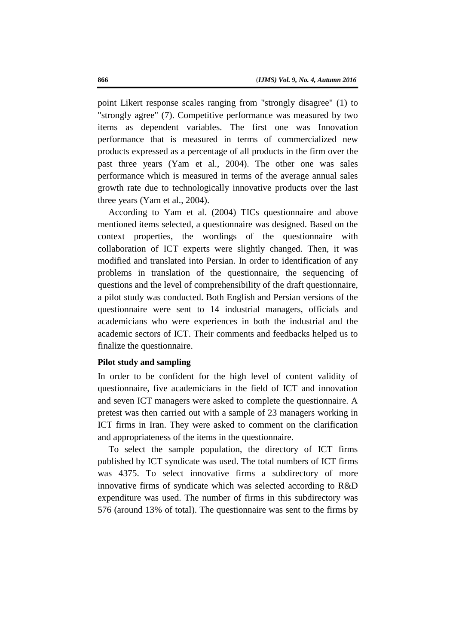point Likert response scales ranging from "strongly disagree" (1) to "strongly agree" (7). Competitive performance was measured by two items as dependent variables. The first one was Innovation performance that is measured in terms of commercialized new products expressed as a percentage of all products in the firm over the past three years (Yam et al., 2004). The other one was sales performance which is measured in terms of the average annual sales growth rate due to technologically innovative products over the last three years (Yam et al., 2004).

According to Yam et al. (2004) TICs questionnaire and above mentioned items selected, a questionnaire was designed. Based on the context properties, the wordings of the questionnaire with collaboration of ICT experts were slightly changed. Then, it was modified and translated into Persian. In order to identification of any problems in translation of the questionnaire, the sequencing of questions and the level of comprehensibility of the draft questionnaire, a pilot study was conducted. Both English and Persian versions of the questionnaire were sent to 14 industrial managers, officials and academicians who were experiences in both the industrial and the academic sectors of ICT. Their comments and feedbacks helped us to finalize the questionnaire.

#### **Pilot study and sampling**

In order to be confident for the high level of content validity of questionnaire, five academicians in the field of ICT and innovation and seven ICT managers were asked to complete the questionnaire. A pretest was then carried out with a sample of 23 managers working in ICT firms in Iran. They were asked to comment on the clarification and appropriateness of the items in the questionnaire.

To select the sample population, the directory of ICT firms published by ICT syndicate was used. The total numbers of ICT firms was 4375. To select innovative firms a subdirectory of more innovative firms of syndicate which was selected according to R&D expenditure was used. The number of firms in this subdirectory was 576 (around 13% of total). The questionnaire was sent to the firms by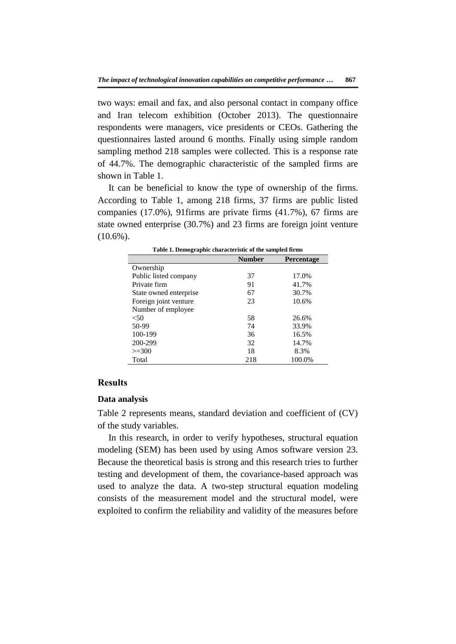two ways: email and fax, and also personal contact in company office and Iran telecom exhibition (October 2013). The questionnaire respondents were managers, vice presidents or CEOs. Gathering the questionnaires lasted around 6 months. Finally using simple random sampling method 218 samples were collected. This is a response rate of 44.7%. The demographic characteristic of the sampled firms are shown in Table 1.

It can be beneficial to know the type of ownership of the firms. According to Table 1, among 218 firms, 37 firms are public listed companies (17.0%), 91firms are private firms (41.7%), 67 firms are state owned enterprise (30.7%) and 23 firms are foreign joint venture (10.6%).

| ruone il Demogrupine enurueterione or the sumpleu minis |               |                   |  |  |
|---------------------------------------------------------|---------------|-------------------|--|--|
|                                                         | <b>Number</b> | <b>Percentage</b> |  |  |
| Ownership                                               |               |                   |  |  |
| Public listed company                                   | 37            | 17.0%             |  |  |
| Private firm                                            | 91            | 41.7%             |  |  |
| State owned enterprise                                  | 67            | 30.7%             |  |  |
| Foreign joint venture                                   | 23            | 10.6%             |  |  |
| Number of employee                                      |               |                   |  |  |
| < 50                                                    | 58            | 26.6%             |  |  |
| 50-99                                                   | 74            | 33.9%             |  |  |
| 100-199                                                 | 36            | 16.5%             |  |  |
| 200-299                                                 | 32            | 14.7%             |  |  |
| $>=300$                                                 | 18            | 8.3%              |  |  |
| Total                                                   | 218           | 100.0%            |  |  |

## **Results**

#### **Data analysis**

Table 2 represents means, standard deviation and coefficient of (CV) of the study variables.

In this research, in order to verify hypotheses, structural equation modeling (SEM) has been used by using Amos software version 23. Because the theoretical basis is strong and this research tries to further testing and development of them, the covariance-based approach was used to analyze the data. A two-step structural equation modeling consists of the measurement model and the structural model, were exploited to confirm the reliability and validity of the measures before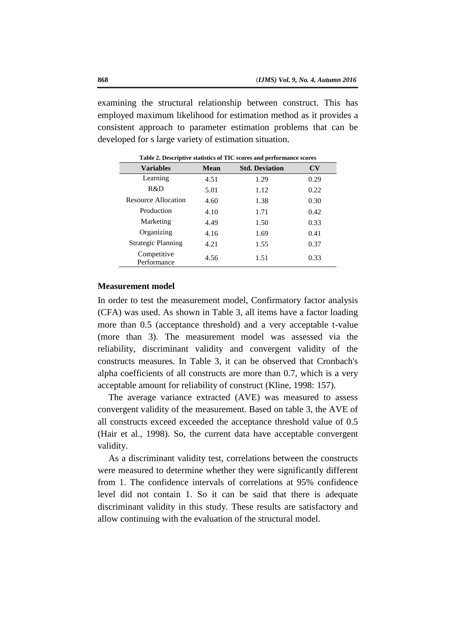examining the structural relationship between construct. This has employed maximum likelihood for estimation method as it provides a consistent approach to parameter estimation problems that can be developed for s large variety of estimation situation.

| <b>Variables</b>           | <b>Mean</b> | <b>Std. Deviation</b> | CV   |  |
|----------------------------|-------------|-----------------------|------|--|
| Learning                   | 4.51        | 1.29                  | 0.29 |  |
| R&D                        | 5.01        | 1.12                  | 0.22 |  |
| <b>Resource Allocation</b> | 4.60        | 1.38                  | 0.30 |  |
| Production                 | 4.10        | 1.71                  | 0.42 |  |
| Marketing                  | 4.49        | 1.50                  | 0.33 |  |
| Organizing                 | 4.16        | 1.69                  | 0.41 |  |
| <b>Strategic Planning</b>  | 4.21        | 1.55                  | 0.37 |  |
| Competitive<br>Performance | 4.56        | 1.51                  | 0.33 |  |

**Table 2. Descriptive statistics of TIC scores and performance scores**

#### **Measurement model**

In order to test the measurement model, Confirmatory factor analysis (CFA) was used. As shown in Table 3, all items have a factor loading more than 0.5 (acceptance threshold) and a very acceptable t-value (more than 3). The measurement model was assessed via the reliability, discriminant validity and convergent validity of the constructs measures. In Table 3, it can be observed that Cronbach's alpha coefficients of all constructs are more than 0.7, which is a very acceptable amount for reliability of construct (Kline, 1998: 157).

The average variance extracted (AVE) was measured to assess convergent validity of the measurement. Based on table 3, the AVE of all constructs exceed exceeded the acceptance threshold value of 0.5 (Hair et al., 1998). So, the current data have acceptable convergent validity.

As a discriminant validity test, correlations between the constructs were measured to determine whether they were significantly different from 1. The confidence intervals of correlations at 95% confidence level did not contain 1. So it can be said that there is adequate discriminant validity in this study. These results are satisfactory and allow continuing with the evaluation of the structural model.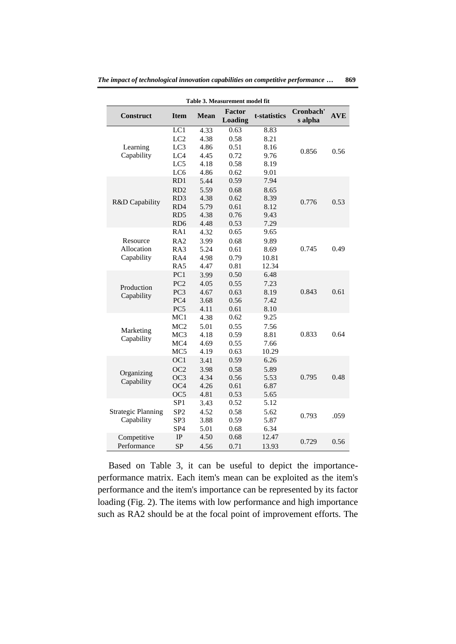| Table 3. Measurement model fit |                 |             |                          |              |                      |            |  |
|--------------------------------|-----------------|-------------|--------------------------|--------------|----------------------|------------|--|
| <b>Construct</b>               | <b>Item</b>     | <b>Mean</b> | <b>Factor</b><br>Loading | t-statistics | Cronbach'<br>s alpha | <b>AVE</b> |  |
|                                | LC1             | 4.33        | 0.63                     | 8.83         |                      |            |  |
|                                | LC2             | 4.38        | 0.58                     | 8.21         |                      |            |  |
| Learning                       | LC <sub>3</sub> | 4.86        | 0.51                     | 8.16         | 0.856                | 0.56       |  |
| Capability                     | LC4             | 4.45        | 0.72                     | 9.76         |                      |            |  |
|                                | LC5             | 4.18        | 0.58                     | 8.19         |                      |            |  |
|                                | LC6             | 4.86        | 0.62                     | 9.01         |                      |            |  |
|                                | RD1             | 5.44        | 0.59                     | 7.94         |                      |            |  |
|                                | RD2             | 5.59        | 0.68                     | 8.65         |                      |            |  |
| R&D Capability                 | RD <sub>3</sub> | 4.38        | 0.62                     | 8.39         | 0.776                | 0.53       |  |
|                                | RD4             | 5.79        | 0.61                     | 8.12         |                      |            |  |
|                                | RD <sub>5</sub> | 4.38        | 0.76                     | 9.43         |                      |            |  |
|                                | RD <sub>6</sub> | 4.48        | 0.53                     | 7.29         |                      |            |  |
|                                | RA1             | 4.32        | 0.65                     | 9.65         |                      |            |  |
| Resource                       | RA2             | 3.99        | 0.68                     | 9.89         |                      |            |  |
| Allocation                     | RA3             | 5.24        | 0.61                     | 8.69         | 0.745                | 0.49       |  |
| Capability                     | RA4             | 4.98        | 0.79                     | 10.81        |                      |            |  |
|                                | RA5             | 4.47        | 0.81                     | 12.34        |                      |            |  |
|                                | PC <sub>1</sub> | 3.99        | 0.50                     | 6.48         |                      |            |  |
| Production                     | PC <sub>2</sub> | 4.05        | 0.55                     | 7.23         |                      |            |  |
| Capability                     | PC <sub>3</sub> | 4.67        | 0.63                     | 8.19         | 0.843                | 0.61       |  |
|                                | PC <sub>4</sub> | 3.68        | 0.56                     | 7.42         |                      |            |  |
|                                | PC <sub>5</sub> | 4.11        | 0.61                     | 8.10         |                      |            |  |
|                                | MC1             | 4.38        | 0.62                     | 9.25         |                      |            |  |
| Marketing                      | MC <sub>2</sub> | 5.01        | 0.55                     | 7.56         |                      |            |  |
| Capability                     | MC <sub>3</sub> | 4.18        | 0.59                     | 8.81         | 0.833                | 0.64       |  |
|                                | MC4             | 4.69        | 0.55                     | 7.66         |                      |            |  |
|                                | MC <sub>5</sub> | 4.19        | 0.63                     | 10.29        |                      |            |  |
|                                | OC1             | 3.41        | 0.59                     | 6.26         |                      |            |  |
| Organizing                     | OC <sub>2</sub> | 3.98        | 0.58                     | 5.89         |                      |            |  |
| Capability                     | OC <sub>3</sub> | 4.34        | 0.56                     | 5.53         | 0.795                | 0.48       |  |
|                                | OC <sub>4</sub> | 4.26        | 0.61                     | 6.87         |                      |            |  |
|                                | OC5             | 4.81        | 0.53                     | 5.65         |                      |            |  |
|                                | SP <sub>1</sub> | 3.43        | 0.52                     | 5.12         |                      |            |  |
| <b>Strategic Planning</b>      | SP <sub>2</sub> | 4.52        | 0.58                     | 5.62         | 0.793                | .059       |  |
| Capability                     | SP3             | 3.88        | 0.59                     | 5.87         |                      |            |  |
|                                | SP <sub>4</sub> | 5.01        | 0.68                     | 6.34         |                      |            |  |
| Competitive                    | $_{\rm IP}$     | 4.50        | 0.68                     | 12.47        | 0.729                | 0.56       |  |
| Performance                    | <b>SP</b>       | 4.56        | 0.71                     | 13.93        |                      |            |  |

Based on Table 3, it can be useful to depict the importanceperformance matrix. Each item's mean can be exploited as the item's performance and the item's importance can be represented by its factor loading (Fig. 2). The items with low performance and high importance such as RA2 should be at the focal point of improvement efforts. The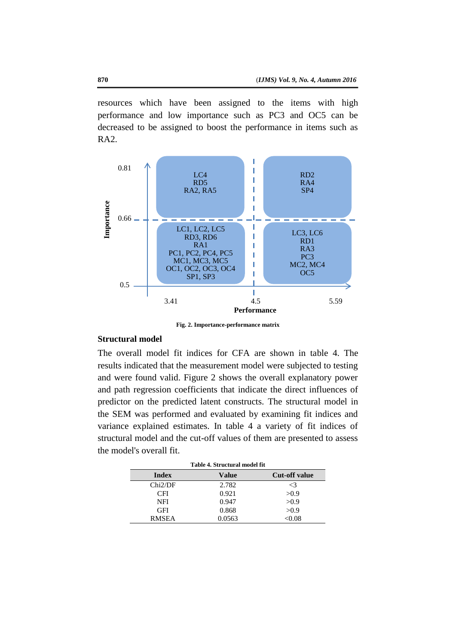resources which have been assigned to the items with high performance and low importance such as PC3 and OC5 can be decreased to be assigned to boost the performance in items such as  $RA2.$ 



**Fig. 2. Importance-performance matrix**

### **Structural model**

The overall model fit indices for CFA are shown in table 4. The results indicated that the measurement model were subjected to testing and were found valid. Figure 2 shows the overall explanatory power and path regression coefficients that indicate the direct influences of predictor on the predicted latent constructs. The structural model in the SEM was performed and evaluated by examining fit indices and variance explained estimates. In table 4 a variety of fit indices of structural model and the cut-off values of them are presented to assess the model's overall fit.

|            | Table 4. Structural model fit |                      |
|------------|-------------------------------|----------------------|
| Index      | <b>Value</b>                  | <b>Cut-off value</b> |
| Chi2/DF    | 2.782                         | $\leq$ 3             |
| <b>CFI</b> | 0.921                         | >0.9                 |
| NFI        | 0.947                         | >0.9                 |
| GFI        | 0.868                         | >0.9                 |
| RMSEA      | 0.0563                        | $<$ 0.08             |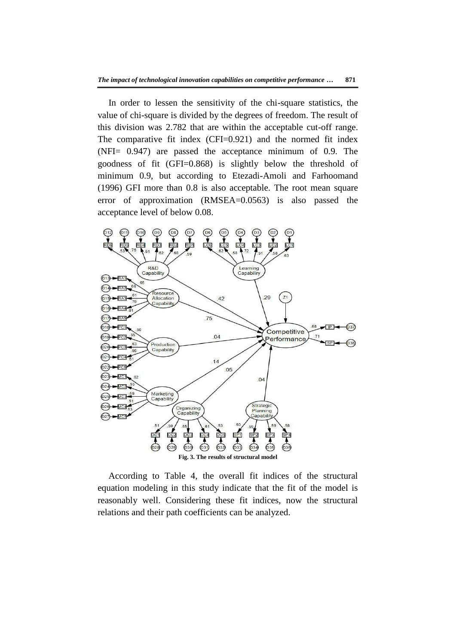In order to lessen the sensitivity of the chi-square statistics, the value of chi-square is divided by the degrees of freedom. The result of this division was 2.782 that are within the acceptable cut-off range. The comparative fit index (CFI=0.921) and the normed fit index (NFI= 0.947) are passed the acceptance minimum of 0.9. The goodness of fit (GFI=0.868) is slightly below the threshold of minimum 0.9, but according to Etezadi-Amoli and Farhoomand (1996) GFI more than 0.8 is also acceptable. The root mean square error of approximation (RMSEA=0.0563) is also passed the acceptance level of below 0.08.



According to Table 4, the overall fit indices of the structural equation modeling in this study indicate that the fit of the model is reasonably well. Considering these fit indices, now the structural relations and their path coefficients can be analyzed.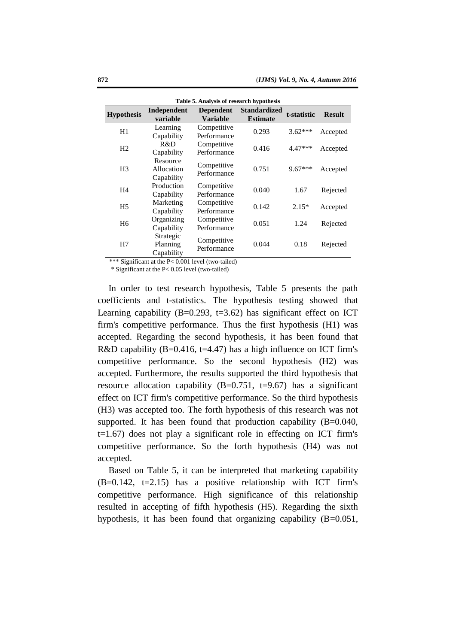| Table 5. Analysis of research hypothesis |                                      |                              |                                        |             |               |
|------------------------------------------|--------------------------------------|------------------------------|----------------------------------------|-------------|---------------|
| <b>Hypothesis</b>                        | Independent<br>variable              | Dependent<br><b>Variable</b> | <b>Standardized</b><br><b>Estimate</b> | t-statistic | <b>Result</b> |
| H1                                       | Learning<br>Capability               | Competitive<br>Performance   | 0.293                                  | $3.62***$   | Accepted      |
| H <sub>2</sub>                           | R&D<br>Capability                    | Competitive<br>Performance   | 0.416                                  | $4.47***$   | Accepted      |
| H <sub>3</sub>                           | Resource<br>Allocation<br>Capability | Competitive<br>Performance   | 0.751                                  | $9.67***$   | Accepted      |
| H <sub>4</sub>                           | Production<br>Capability             | Competitive<br>Performance   | 0.040                                  | 1.67        | Rejected      |
| H <sub>5</sub>                           | Marketing<br>Capability              | Competitive<br>Performance   | 0.142                                  | $2.15*$     | Accepted      |
| H <sub>6</sub>                           | Organizing<br>Capability             | Competitive<br>Performance   | 0.051                                  | 1.24        | Rejected      |
| H7                                       | Strategic<br>Planning<br>Capability  | Competitive<br>Performance   | 0.044                                  | 0.18        | Rejected      |

\*\*\* Significant at the P< 0.001 level (two-tailed)

\* Significant at the P< 0.05 level (two-tailed)

In order to test research hypothesis, Table 5 presents the path coefficients and t-statistics. The hypothesis testing showed that Learning capability  $(B=0.293, t=3.62)$  has significant effect on ICT firm's competitive performance. Thus the first hypothesis (H1) was accepted. Regarding the second hypothesis, it has been found that R&D capability  $(B=0.416, t=4.47)$  has a high influence on ICT firm's competitive performance. So the second hypothesis (H2) was accepted. Furthermore, the results supported the third hypothesis that resource allocation capability  $(B=0.751, t=9.67)$  has a significant effect on ICT firm's competitive performance. So the third hypothesis (H3) was accepted too. The forth hypothesis of this research was not supported. It has been found that production capability (B=0.040,  $t=1.67$ ) does not play a significant role in effecting on ICT firm's competitive performance. So the forth hypothesis (H4) was not accepted.

Based on Table 5, it can be interpreted that marketing capability  $(B=0.142, t=2.15)$  has a positive relationship with ICT firm's competitive performance. High significance of this relationship resulted in accepting of fifth hypothesis (H5). Regarding the sixth hypothesis, it has been found that organizing capability (B=0.051,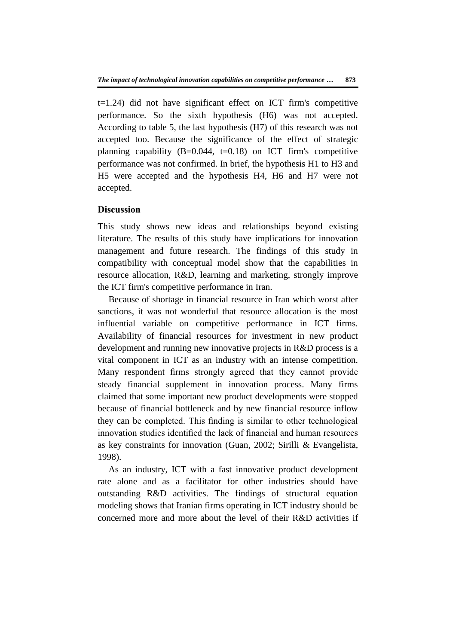$t=1.24$ ) did not have significant effect on ICT firm's competitive performance. So the sixth hypothesis (H6) was not accepted. According to table 5, the last hypothesis (H7) of this research was not accepted too. Because the significance of the effect of strategic planning capability  $(B=0.044, t=0.18)$  on ICT firm's competitive performance was not confirmed. In brief, the hypothesis H1 to H3 and H5 were accepted and the hypothesis H4, H6 and H7 were not accepted.

# **Discussion**

This study shows new ideas and relationships beyond existing literature. The results of this study have implications for innovation management and future research. The findings of this study in compatibility with conceptual model show that the capabilities in resource allocation, R&D, learning and marketing, strongly improve the ICT firm's competitive performance in Iran.

Because of shortage in financial resource in Iran which worst after sanctions, it was not wonderful that resource allocation is the most influential variable on competitive performance in ICT firms. Availability of financial resources for investment in new product development and running new innovative projects in R&D process is a vital component in ICT as an industry with an intense competition. Many respondent firms strongly agreed that they cannot provide steady financial supplement in innovation process. Many firms claimed that some important new product developments were stopped because of financial bottleneck and by new financial resource inflow they can be completed. This finding is similar to other technological innovation studies identified the lack of financial and human resources as key constraints for innovation (Guan, 2002; Sirilli & Evangelista, 1998).

As an industry, ICT with a fast innovative product development rate alone and as a facilitator for other industries should have outstanding R&D activities. The findings of structural equation modeling shows that Iranian firms operating in ICT industry should be concerned more and more about the level of their R&D activities if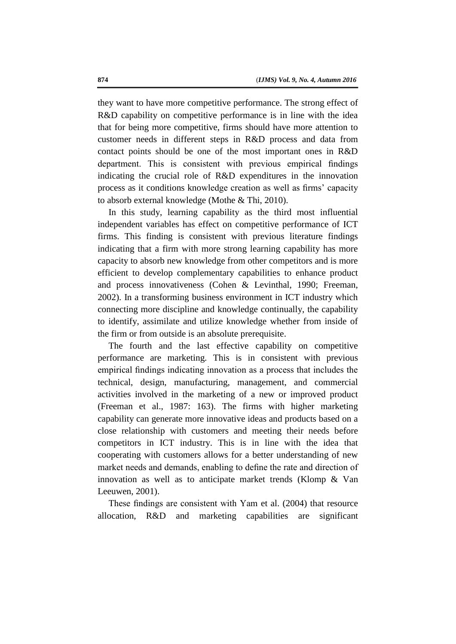they want to have more competitive performance. The strong effect of R&D capability on competitive performance is in line with the idea that for being more competitive, firms should have more attention to customer needs in different steps in R&D process and data from contact points should be one of the most important ones in R&D department. This is consistent with previous empirical findings indicating the crucial role of R&D expenditures in the innovation process as it conditions knowledge creation as well as firms' capacity to absorb external knowledge (Mothe & Thi, 2010).

In this study, learning capability as the third most influential independent variables has effect on competitive performance of ICT firms. This finding is consistent with previous literature findings indicating that a firm with more strong learning capability has more capacity to absorb new knowledge from other competitors and is more efficient to develop complementary capabilities to enhance product and process innovativeness (Cohen & Levinthal, 1990; Freeman, 2002). In a transforming business environment in ICT industry which connecting more discipline and knowledge continually, the capability to identify, assimilate and utilize knowledge whether from inside of the firm or from outside is an absolute prerequisite.

The fourth and the last effective capability on competitive performance are marketing. This is in consistent with previous empirical findings indicating innovation as a process that includes the technical, design, manufacturing, management, and commercial activities involved in the marketing of a new or improved product (Freeman et al., 1987: 163). The firms with higher marketing capability can generate more innovative ideas and products based on a close relationship with customers and meeting their needs before competitors in ICT industry. This is in line with the idea that cooperating with customers allows for a better understanding of new market needs and demands, enabling to define the rate and direction of innovation as well as to anticipate market trends (Klomp & Van Leeuwen, 2001).

These findings are consistent with Yam et al. (2004) that resource allocation, R&D and marketing capabilities are significant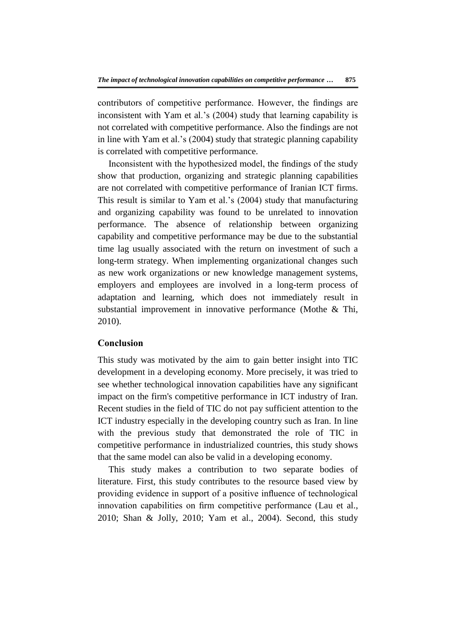contributors of competitive performance. However, the findings are inconsistent with Yam et al.'s (2004) study that learning capability is not correlated with competitive performance. Also the findings are not in line with Yam et al.'s (2004) study that strategic planning capability is correlated with competitive performance.

Inconsistent with the hypothesized model, the findings of the study show that production, organizing and strategic planning capabilities are not correlated with competitive performance of Iranian ICT firms. This result is similar to Yam et al.'s (2004) study that manufacturing and organizing capability was found to be unrelated to innovation performance. The absence of relationship between organizing capability and competitive performance may be due to the substantial time lag usually associated with the return on investment of such a long-term strategy. When implementing organizational changes such as new work organizations or new knowledge management systems, employers and employees are involved in a long-term process of adaptation and learning, which does not immediately result in substantial improvement in innovative performance (Mothe & Thi, 2010).

## **Conclusion**

This study was motivated by the aim to gain better insight into TIC development in a developing economy. More precisely, it was tried to see whether technological innovation capabilities have any significant impact on the firm's competitive performance in ICT industry of Iran. Recent studies in the field of TIC do not pay sufficient attention to the ICT industry especially in the developing country such as Iran. In line with the previous study that demonstrated the role of TIC in competitive performance in industrialized countries, this study shows that the same model can also be valid in a developing economy.

This study makes a contribution to two separate bodies of literature. First, this study contributes to the resource based view by providing evidence in support of a positive influence of technological innovation capabilities on firm competitive performance (Lau et al., 2010; Shan & Jolly, 2010; Yam et al., 2004). Second, this study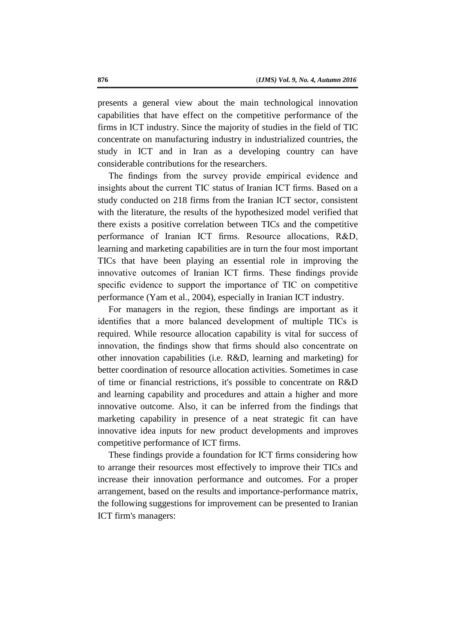presents a general view about the main technological innovation capabilities that have effect on the competitive performance of the firms in ICT industry. Since the majority of studies in the field of TIC concentrate on manufacturing industry in industrialized countries, the study in ICT and in Iran as a developing country can have considerable contributions for the researchers.

The findings from the survey provide empirical evidence and insights about the current TIC status of Iranian ICT firms. Based on a study conducted on 218 firms from the Iranian ICT sector, consistent with the literature, the results of the hypothesized model verified that there exists a positive correlation between TICs and the competitive performance of Iranian ICT firms. Resource allocations, R&D, learning and marketing capabilities are in turn the four most important TICs that have been playing an essential role in improving the innovative outcomes of Iranian ICT firms. These findings provide specific evidence to support the importance of TIC on competitive performance (Yam et al., 2004), especially in Iranian ICT industry.

For managers in the region, these findings are important as it identifies that a more balanced development of multiple TICs is required. While resource allocation capability is vital for success of innovation, the findings show that firms should also concentrate on other innovation capabilities (i.e. R&D, learning and marketing) for better coordination of resource allocation activities. Sometimes in case of time or financial restrictions, it's possible to concentrate on R&D and learning capability and procedures and attain a higher and more innovative outcome. Also, it can be inferred from the findings that marketing capability in presence of a neat strategic fit can have innovative idea inputs for new product developments and improves competitive performance of ICT firms.

These findings provide a foundation for ICT firms considering how to arrange their resources most effectively to improve their TICs and increase their innovation performance and outcomes. For a proper arrangement, based on the results and importance-performance matrix, the following suggestions for improvement can be presented to Iranian ICT firm's managers: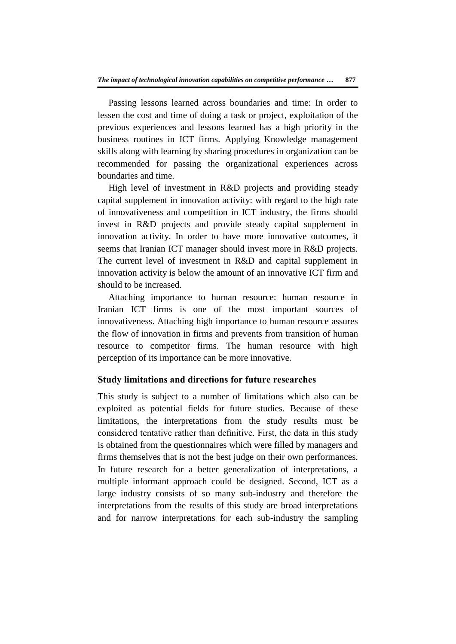Passing lessons learned across boundaries and time: In order to lessen the cost and time of doing a task or project, exploitation of the previous experiences and lessons learned has a high priority in the business routines in ICT firms. Applying Knowledge management skills along with learning by sharing procedures in organization can be recommended for passing the organizational experiences across boundaries and time.

High level of investment in R&D projects and providing steady capital supplement in innovation activity: with regard to the high rate of innovativeness and competition in ICT industry, the firms should invest in R&D projects and provide steady capital supplement in innovation activity. In order to have more innovative outcomes, it seems that Iranian ICT manager should invest more in R&D projects. The current level of investment in R&D and capital supplement in innovation activity is below the amount of an innovative ICT firm and should to be increased.

Attaching importance to human resource: human resource in Iranian ICT firms is one of the most important sources of innovativeness. Attaching high importance to human resource assures the flow of innovation in firms and prevents from transition of human resource to competitor firms. The human resource with high perception of its importance can be more innovative.

# **Study limitations and directions for future researches**

This study is subject to a number of limitations which also can be exploited as potential fields for future studies. Because of these limitations, the interpretations from the study results must be considered tentative rather than definitive. First, the data in this study is obtained from the questionnaires which were filled by managers and firms themselves that is not the best judge on their own performances. In future research for a better generalization of interpretations, a multiple informant approach could be designed. Second, ICT as a large industry consists of so many sub-industry and therefore the interpretations from the results of this study are broad interpretations and for narrow interpretations for each sub-industry the sampling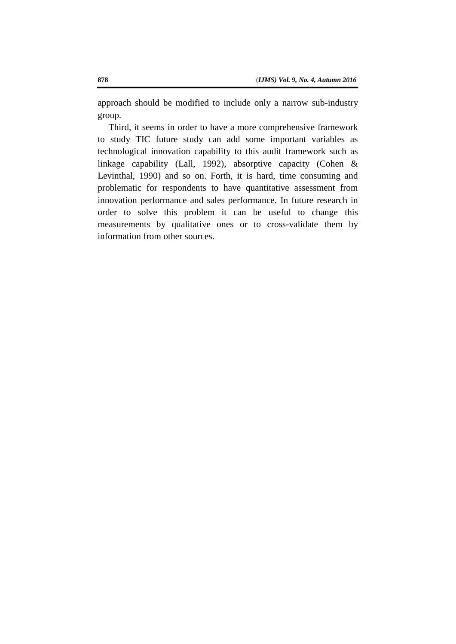approach should be modified to include only a narrow sub-industry group.

Third, it seems in order to have a more comprehensive framework to study TIC future study can add some important variables as technological innovation capability to this audit framework such as linkage capability (Lall, 1992), absorptive capacity (Cohen & Levinthal, 1990) and so on. Forth, it is hard, time consuming and problematic for respondents to have quantitative assessment from innovation performance and sales performance. In future research in order to solve this problem it can be useful to change this measurements by qualitative ones or to cross-validate them by information from other sources.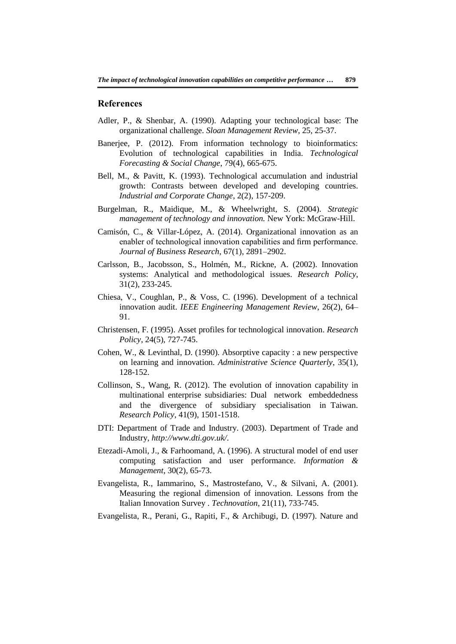#### **References**

- Adler, P., & Shenbar, A. (1990). Adapting your technological base: The organizational challenge. *Sloan Management Review*, 25, 25-37.
- Banerjee, P. (2012). From information technology to bioinformatics: Evolution of technological capabilities in India. *Technological Forecasting & Social Change*, 79(4), 665-675.
- Bell, M., & Pavitt, K. (1993). Technological accumulation and industrial growth: Contrasts between developed and developing countries. *Industrial and Corporate Change*, 2(2), 157-209.
- Burgelman, R., Maidique, M., & Wheelwright, S. (2004). *Strategic management of technology and innovation.* New York: McGraw-Hill.
- Camisón, C., & Villar-López, A. (2014). Organizational innovation as an enabler of technological innovation capabilities and firm performance. *Journal of Business Research*, 67(1), 2891–2902.
- Carlsson, B., Jacobsson, S., Holmén, M., Rickne, A. (2002). Innovation systems: Analytical and methodological issues. *Research Policy*, 31(2), 233-245.
- Chiesa, V., Coughlan, P., & Voss, C. (1996). Development of a technical innovation audit. *IEEE Engineering Management Review*, 26(2), 64– 91.
- Christensen, F. (1995). Asset profiles for technological innovation. *Research Policy*, 24(5), 727-745.
- Cohen, W., & Levinthal, D. (1990). Absorptive capacity : a new perspective on learning and innovation. *Administrative Science Quarterly*, 35(1), 128-152.
- Collinson, S., Wang, R. (2012). The evolution of innovation capability in multinational enterprise subsidiaries: Dual network embeddedness and the divergence of subsidiary specialisation in Taiwan. *Research Policy*, 41(9), 1501-1518.
- DTI: Department of Trade and Industry. (2003). Department of Trade and Industry, *http://www.dti.gov.uk/*.
- Etezadi-Amoli, J., & Farhoomand, A. (1996). A structural model of end user computing satisfaction and user performance. *Information & Management*, 30(2), 65-73.
- Evangelista, R., Iammarino, S., Mastrostefano, V., & Silvani, A. (2001). Measuring the regional dimension of innovation. Lessons from the Italian Innovation Survey . *Technovation*, 21(11), 733-745.
- Evangelista, R., Perani, G., Rapiti, F., & Archibugi, D. (1997). Nature and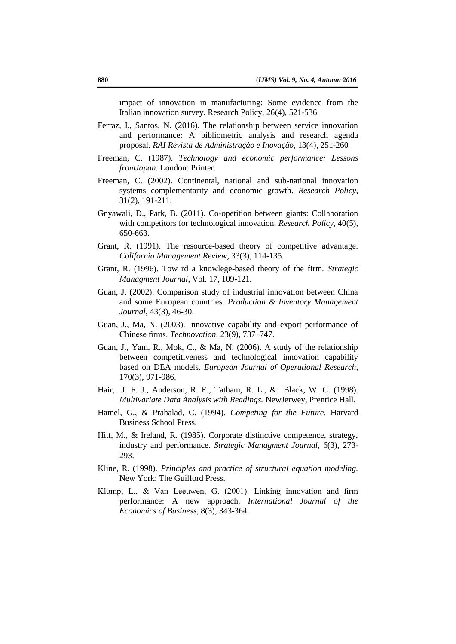impact of innovation in manufacturing: Some evidence from the Italian innovation survey. Research Policy, 26(4), 521-536.

- Ferraz, I., Santos, N. (2016). The relationship between service innovation and performance: A bibliometric analysis and research agenda proposal. *RAI Revista de Administração e Inovação*, 13(4), 251-260
- Freeman, C. (1987). *Technology and economic performance: Lessons fromJapan.* London: Printer.
- Freeman, C. (2002). Continental, national and sub-national innovation systems complementarity and economic growth. *Research Policy*, 31(2), 191-211.
- Gnyawali, D., Park, B. (2011). Co-opetition between giants: Collaboration with competitors for technological innovation. *Research Policy*, 40(5), 650-663.
- Grant, R. (1991). The resource-based theory of competitive advantage. *California Management Review*, 33(3), 114-135.
- Grant, R. (1996). Tow rd a knowlege-based theory of the firm. *Strategic Managment Journal*, Vol. 17, 109-121.
- Guan, J. (2002). Comparison study of industrial innovation between China and some European countries. *Production & Inventory Management Journal*, 43(3), 46-30.
- Guan, J., Ma, N. (2003). Innovative capability and export performance of Chinese firms. *Technovation*, 23(9), 737–747.
- Guan, J., Yam, R., Mok, C., & Ma, N. (2006). A study of the relationship between competitiveness and technological innovation capability based on DEA models. *European Journal of Operational Research*, 170(3), 971-986.
- Hair, J. F. J., Anderson, R. E., Tatham, R. L., & Black, W. C. (1998). *Multivariate Data Analysis with Readings.* NewJerwey, Prentice Hall.
- Hamel, G., & Prahalad, C. (1994). *Competing for the Future.* Harvard Business School Press.
- Hitt, M., & Ireland, R. (1985). Corporate distinctive competence, strategy, industry and performance. *Strategic Managment Journal*, 6(3), 273- 293.
- Kline, R. (1998). *Principles and practice of structural equation modeling.* New York: The Guilford Press.
- Klomp, L., & Van Leeuwen, G. (2001). Linking innovation and firm performance: A new approach. *International Journal of the Economics of Business*, 8(3), 343-364.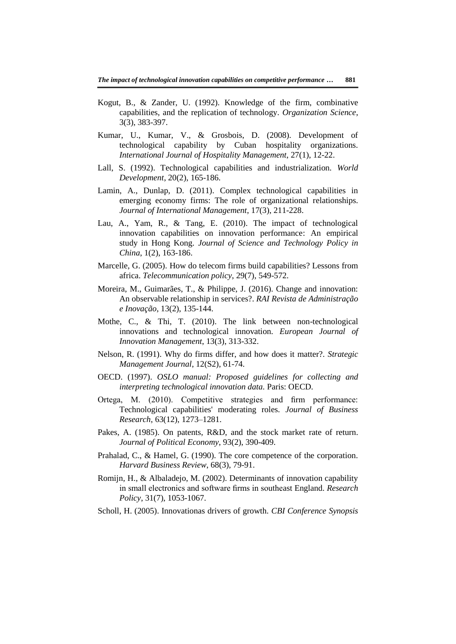- Kogut, B., & Zander, U. (1992). Knowledge of the firm, combinative capabilities, and the replication of technology. *Organization Science*, 3(3), 383-397.
- Kumar, U., Kumar, V., & Grosbois, D. (2008). Development of technological capability by Cuban hospitality organizations. *International Journal of Hospitality Management*, 27(1), 12-22.
- Lall, S. (1992). Technological capabilities and industrialization. *World Development*, 20(2), 165-186.
- Lamin, A., Dunlap, D. (2011). Complex technological capabilities in emerging economy firms: The role of organizational relationships. *Journal of International Management*, 17(3), 211-228.
- Lau, A., Yam, R., & Tang, E. (2010). The impact of technological innovation capabilities on innovation performance: An empirical study in Hong Kong. *Journal of Science and Technology Policy in China*, 1(2), 163-186.
- Marcelle, G. (2005). How do telecom firms build capabilities? Lessons from africa. *Telecommunication policy*, 29(7), 549-572.
- Moreira, M., Guimarães, T., & Philippe, J. (2016). Change and innovation: An observable relationship in services?. *RAI Revista de Administração e Inovação*, 13(2), 135-144.
- Mothe, C., & Thi, T. (2010). The link between non-technological innovations and technological innovation. *European Journal of Innovation Management*, 13(3), 313-332.
- Nelson, R. (1991). Why do firms differ, and how does it matter?. *Strategic Management Journal*, 12(S2), 61-74.
- OECD. (1997). *OSLO manual: Proposed guidelines for collecting and interpreting technological innovation data.* Paris: OECD.
- Ortega, M. (2010). Competitive strategies and firm performance: Technological capabilities' moderating roles. *Journal of Business Research*, 63(12), 1273–1281.
- Pakes, A. (1985). On patents, R&D, and the stock market rate of return. *Journal of Political Economy*, 93(2), 390-409.
- Prahalad, C., & Hamel, G. (1990). The core competence of the corporation. *Harvard Business Review*, 68(3), 79-91.
- Romijn, H., & Albaladejo, M. (2002). Determinants of innovation capability in small electronics and software firms in southeast England. *Research Policy*, 31(7), 1053-1067.
- Scholl, H. (2005). Innovationas drivers of growth. *CBI Conference Synopsis*